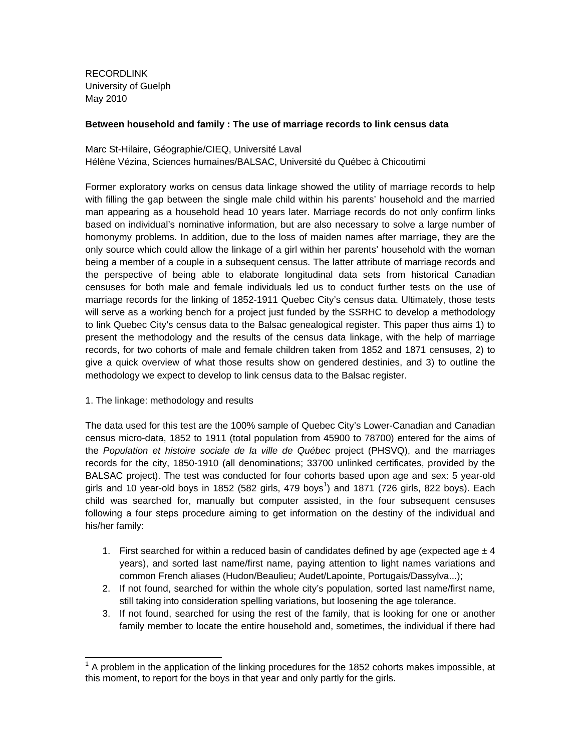RECORDLINK University of Guelph May 2010

#### **Between household and family : The use of marriage records to link census data**

Marc St-Hilaire, Géographie/CIEQ, Université Laval Hélène Vézina, Sciences humaines/BALSAC, Université du Québec à Chicoutimi

Former exploratory works on census data linkage showed the utility of marriage records to help with filling the gap between the single male child within his parents' household and the married man appearing as a household head 10 years later. Marriage records do not only confirm links based on individual's nominative information, but are also necessary to solve a large number of homonymy problems. In addition, due to the loss of maiden names after marriage, they are the only source which could allow the linkage of a girl within her parents' household with the woman being a member of a couple in a subsequent census. The latter attribute of marriage records and the perspective of being able to elaborate longitudinal data sets from historical Canadian censuses for both male and female individuals led us to conduct further tests on the use of marriage records for the linking of 1852-1911 Quebec City's census data. Ultimately, those tests will serve as a working bench for a project just funded by the SSRHC to develop a methodology to link Quebec City's census data to the Balsac genealogical register. This paper thus aims 1) to present the methodology and the results of the census data linkage, with the help of marriage records, for two cohorts of male and female children taken from 1852 and 1871 censuses, 2) to give a quick overview of what those results show on gendered destinies, and 3) to outline the methodology we expect to develop to link census data to the Balsac register.

1. The linkage: methodology and results

1

The data used for this test are the 100% sample of Quebec City's Lower-Canadian and Canadian census micro-data, 1852 to 1911 (total population from 45900 to 78700) entered for the aims of the *Population et histoire sociale de la ville de Québec* project (PHSVQ), and the marriages records for the city, 1850-1910 (all denominations; 33700 unlinked certificates, provided by the BALSAC project). The test was conducted for four cohorts based upon age and sex: 5 year-old girls and 10 year-old boys in 1852 (582 girls, 479 boys<sup>1</sup>) and 1871 (726 girls, 822 boys). Each child was searched for, manually but computer assisted, in the four subsequent censuses following a four steps procedure aiming to get information on the destiny of the individual and his/her family:

- 1. First searched for within a reduced basin of candidates defined by age (expected age  $\pm 4$ years), and sorted last name/first name, paying attention to light names variations and common French aliases (Hudon/Beaulieu; Audet/Lapointe, Portugais/Dassylva...);
- 2. If not found, searched for within the whole city's population, sorted last name/first name, still taking into consideration spelling variations, but loosening the age tolerance.
- 3. If not found, searched for using the rest of the family, that is looking for one or another family member to locate the entire household and, sometimes, the individual if there had

 $1$  A problem in the application of the linking procedures for the 1852 cohorts makes impossible, at this moment, to report for the boys in that year and only partly for the girls.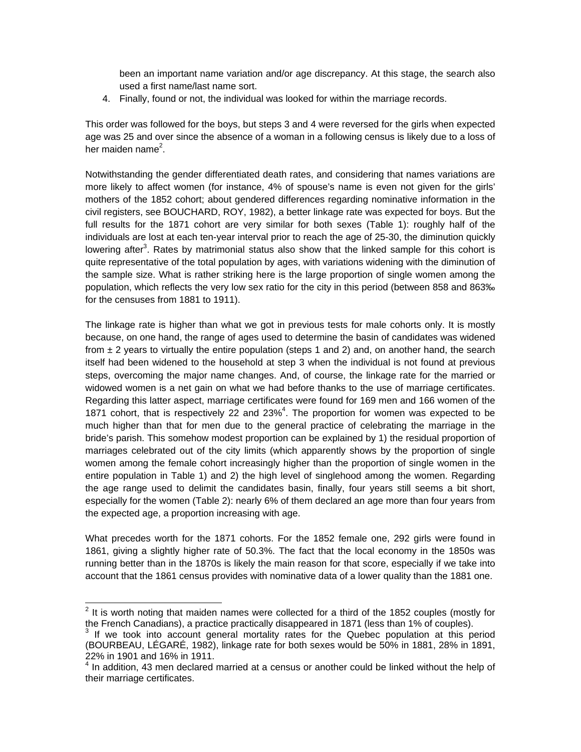been an important name variation and/or age discrepancy. At this stage, the search also used a first name/last name sort.

4. Finally, found or not, the individual was looked for within the marriage records.

This order was followed for the boys, but steps 3 and 4 were reversed for the girls when expected age was 25 and over since the absence of a woman in a following census is likely due to a loss of her maiden name<sup>2</sup>.

Notwithstanding the gender differentiated death rates, and considering that names variations are more likely to affect women (for instance, 4% of spouse's name is even not given for the girls' mothers of the 1852 cohort; about gendered differences regarding nominative information in the civil registers, see BOUCHARD, ROY, 1982), a better linkage rate was expected for boys. But the full results for the 1871 cohort are very similar for both sexes (Table 1): roughly half of the individuals are lost at each ten-year interval prior to reach the age of 25-30, the diminution quickly lowering after<sup>3</sup>. Rates by matrimonial status also show that the linked sample for this cohort is quite representative of the total population by ages, with variations widening with the diminution of the sample size. What is rather striking here is the large proportion of single women among the population, which reflects the very low sex ratio for the city in this period (between 858 and 863‰ for the censuses from 1881 to 1911).

The linkage rate is higher than what we got in previous tests for male cohorts only. It is mostly because, on one hand, the range of ages used to determine the basin of candidates was widened from  $\pm$  2 years to virtually the entire population (steps 1 and 2) and, on another hand, the search itself had been widened to the household at step 3 when the individual is not found at previous steps, overcoming the major name changes. And, of course, the linkage rate for the married or widowed women is a net gain on what we had before thanks to the use of marriage certificates. Regarding this latter aspect, marriage certificates were found for 169 men and 166 women of the 1871 cohort, that is respectively 22 and 23% $^4$ . The proportion for women was expected to be much higher than that for men due to the general practice of celebrating the marriage in the bride's parish. This somehow modest proportion can be explained by 1) the residual proportion of marriages celebrated out of the city limits (which apparently shows by the proportion of single women among the female cohort increasingly higher than the proportion of single women in the entire population in Table 1) and 2) the high level of singlehood among the women. Regarding the age range used to delimit the candidates basin, finally, four years still seems a bit short, especially for the women (Table 2): nearly 6% of them declared an age more than four years from the expected age, a proportion increasing with age.

What precedes worth for the 1871 cohorts. For the 1852 female one, 292 girls were found in 1861, giving a slightly higher rate of 50.3%. The fact that the local economy in the 1850s was running better than in the 1870s is likely the main reason for that score, especially if we take into account that the 1861 census provides with nominative data of a lower quality than the 1881 one.

 2 It is worth noting that maiden names were collected for a third of the 1852 couples (mostly for the French Canadians), a practice practically disappeared in 1871 (less than 1% of couples). 3

 $3$  If we took into account general mortality rates for the Quebec population at this period (BOURBEAU, LÉGARÉ, 1982), linkage rate for both sexes would be 50% in 1881, 28% in 1891, 22% in 1901 and 16% in 1911.

 $<sup>4</sup>$  In addition, 43 men declared married at a census or another could be linked without the help of</sup> their marriage certificates.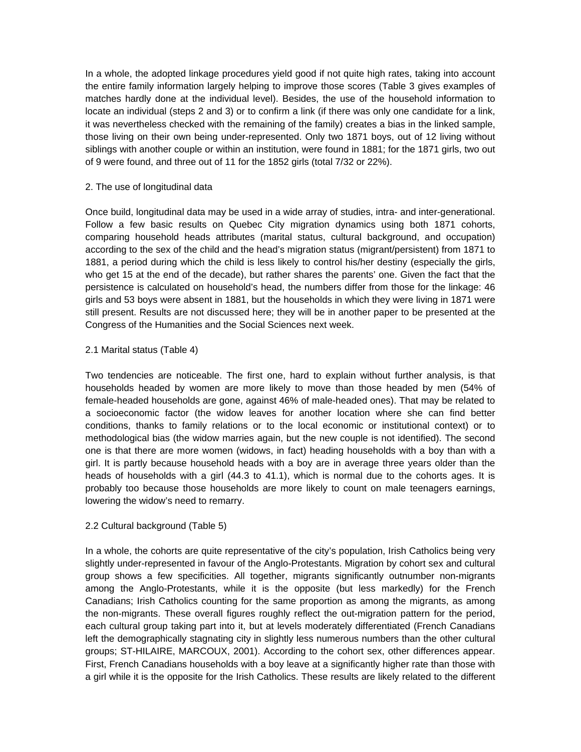In a whole, the adopted linkage procedures yield good if not quite high rates, taking into account the entire family information largely helping to improve those scores (Table 3 gives examples of matches hardly done at the individual level). Besides, the use of the household information to locate an individual (steps 2 and 3) or to confirm a link (if there was only one candidate for a link, it was nevertheless checked with the remaining of the family) creates a bias in the linked sample, those living on their own being under-represented. Only two 1871 boys, out of 12 living without siblings with another couple or within an institution, were found in 1881; for the 1871 girls, two out of 9 were found, and three out of 11 for the 1852 girls (total 7/32 or 22%).

#### 2. The use of longitudinal data

Once build, longitudinal data may be used in a wide array of studies, intra- and inter-generational. Follow a few basic results on Quebec City migration dynamics using both 1871 cohorts, comparing household heads attributes (marital status, cultural background, and occupation) according to the sex of the child and the head's migration status (migrant/persistent) from 1871 to 1881, a period during which the child is less likely to control his/her destiny (especially the girls, who get 15 at the end of the decade), but rather shares the parents' one. Given the fact that the persistence is calculated on household's head, the numbers differ from those for the linkage: 46 girls and 53 boys were absent in 1881, but the households in which they were living in 1871 were still present. Results are not discussed here; they will be in another paper to be presented at the Congress of the Humanities and the Social Sciences next week.

#### 2.1 Marital status (Table 4)

Two tendencies are noticeable. The first one, hard to explain without further analysis, is that households headed by women are more likely to move than those headed by men (54% of female-headed households are gone, against 46% of male-headed ones). That may be related to a socioeconomic factor (the widow leaves for another location where she can find better conditions, thanks to family relations or to the local economic or institutional context) or to methodological bias (the widow marries again, but the new couple is not identified). The second one is that there are more women (widows, in fact) heading households with a boy than with a girl. It is partly because household heads with a boy are in average three years older than the heads of households with a girl (44.3 to 41.1), which is normal due to the cohorts ages. It is probably too because those households are more likely to count on male teenagers earnings, lowering the widow's need to remarry.

#### 2.2 Cultural background (Table 5)

In a whole, the cohorts are quite representative of the city's population, Irish Catholics being very slightly under-represented in favour of the Anglo-Protestants. Migration by cohort sex and cultural group shows a few specificities. All together, migrants significantly outnumber non-migrants among the Anglo-Protestants, while it is the opposite (but less markedly) for the French Canadians; Irish Catholics counting for the same proportion as among the migrants, as among the non-migrants. These overall figures roughly reflect the out-migration pattern for the period, each cultural group taking part into it, but at levels moderately differentiated (French Canadians left the demographically stagnating city in slightly less numerous numbers than the other cultural groups; ST-HILAIRE, MARCOUX, 2001). According to the cohort sex, other differences appear. First, French Canadians households with a boy leave at a significantly higher rate than those with a girl while it is the opposite for the Irish Catholics. These results are likely related to the different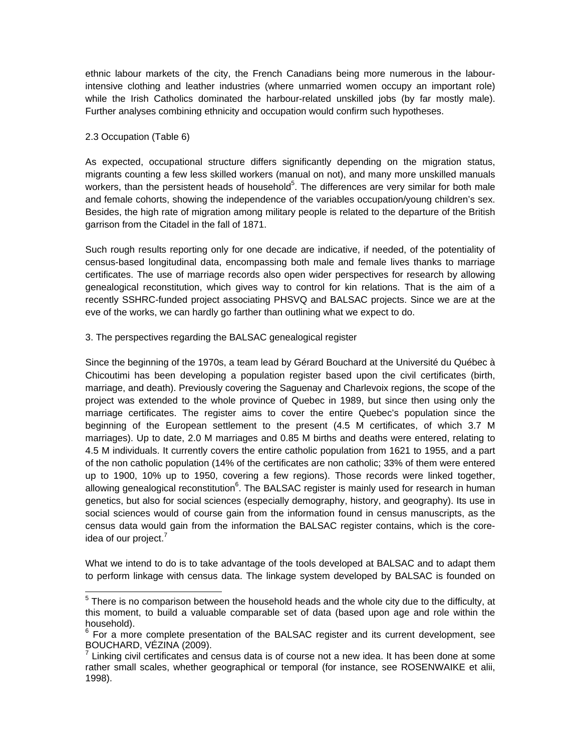ethnic labour markets of the city, the French Canadians being more numerous in the labourintensive clothing and leather industries (where unmarried women occupy an important role) while the Irish Catholics dominated the harbour-related unskilled jobs (by far mostly male). Further analyses combining ethnicity and occupation would confirm such hypotheses.

#### 2.3 Occupation (Table 6)

As expected, occupational structure differs significantly depending on the migration status, migrants counting a few less skilled workers (manual on not), and many more unskilled manuals workers, than the persistent heads of household<sup>5</sup>. The differences are very similar for both male and female cohorts, showing the independence of the variables occupation/young children's sex. Besides, the high rate of migration among military people is related to the departure of the British garrison from the Citadel in the fall of 1871.

Such rough results reporting only for one decade are indicative, if needed, of the potentiality of census-based longitudinal data, encompassing both male and female lives thanks to marriage certificates. The use of marriage records also open wider perspectives for research by allowing genealogical reconstitution, which gives way to control for kin relations. That is the aim of a recently SSHRC-funded project associating PHSVQ and BALSAC projects. Since we are at the eve of the works, we can hardly go farther than outlining what we expect to do.

#### 3. The perspectives regarding the BALSAC genealogical register

Since the beginning of the 1970s, a team lead by Gérard Bouchard at the Université du Québec à Chicoutimi has been developing a population register based upon the civil certificates (birth, marriage, and death). Previously covering the Saguenay and Charlevoix regions, the scope of the project was extended to the whole province of Quebec in 1989, but since then using only the marriage certificates. The register aims to cover the entire Quebec's population since the beginning of the European settlement to the present (4.5 M certificates, of which 3.7 M marriages). Up to date, 2.0 M marriages and 0.85 M births and deaths were entered, relating to 4.5 M individuals. It currently covers the entire catholic population from 1621 to 1955, and a part of the non catholic population (14% of the certificates are non catholic; 33% of them were entered up to 1900, 10% up to 1950, covering a few regions). Those records were linked together, allowing genealogical reconstitution<sup>6</sup>. The BALSAC register is mainly used for research in human genetics, but also for social sciences (especially demography, history, and geography). Its use in social sciences would of course gain from the information found in census manuscripts, as the census data would gain from the information the BALSAC register contains, which is the coreidea of our project.<sup>7</sup>

What we intend to do is to take advantage of the tools developed at BALSAC and to adapt them to perform linkage with census data. The linkage system developed by BALSAC is founded on

 5 There is no comparison between the household heads and the whole city due to the difficulty, at this moment, to build a valuable comparable set of data (based upon age and role within the household).

 $6$  For a more complete presentation of the BALSAC register and its current development, see BOUCHARD, VÉZINA (2009).

 $^7$  Linking civil certificates and census data is of course not a new idea. It has been done at some rather small scales, whether geographical or temporal (for instance, see ROSENWAIKE et alii, 1998).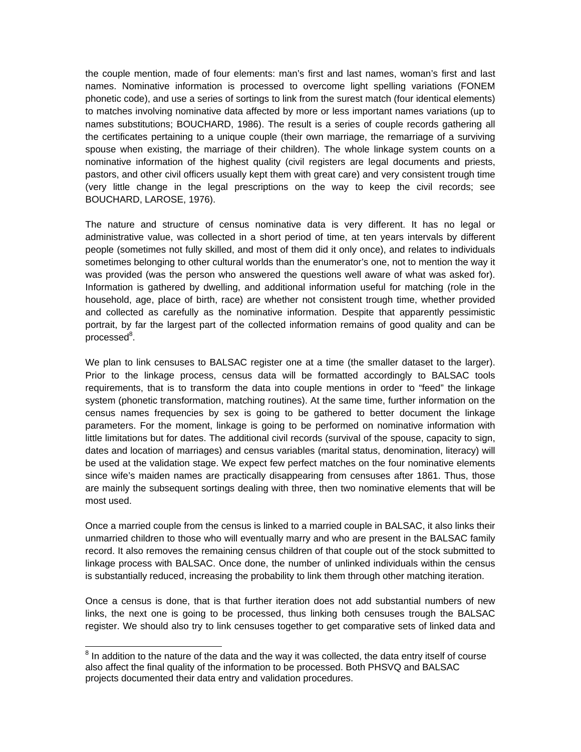the couple mention, made of four elements: man's first and last names, woman's first and last names. Nominative information is processed to overcome light spelling variations (FONEM phonetic code), and use a series of sortings to link from the surest match (four identical elements) to matches involving nominative data affected by more or less important names variations (up to names substitutions; BOUCHARD, 1986). The result is a series of couple records gathering all the certificates pertaining to a unique couple (their own marriage, the remarriage of a surviving spouse when existing, the marriage of their children). The whole linkage system counts on a nominative information of the highest quality (civil registers are legal documents and priests, pastors, and other civil officers usually kept them with great care) and very consistent trough time (very little change in the legal prescriptions on the way to keep the civil records; see BOUCHARD, LAROSE, 1976).

The nature and structure of census nominative data is very different. It has no legal or administrative value, was collected in a short period of time, at ten years intervals by different people (sometimes not fully skilled, and most of them did it only once), and relates to individuals sometimes belonging to other cultural worlds than the enumerator's one, not to mention the way it was provided (was the person who answered the questions well aware of what was asked for). Information is gathered by dwelling, and additional information useful for matching (role in the household, age, place of birth, race) are whether not consistent trough time, whether provided and collected as carefully as the nominative information. Despite that apparently pessimistic portrait, by far the largest part of the collected information remains of good quality and can be processed<sup>8</sup>.

We plan to link censuses to BALSAC register one at a time (the smaller dataset to the larger). Prior to the linkage process, census data will be formatted accordingly to BALSAC tools requirements, that is to transform the data into couple mentions in order to "feed" the linkage system (phonetic transformation, matching routines). At the same time, further information on the census names frequencies by sex is going to be gathered to better document the linkage parameters. For the moment, linkage is going to be performed on nominative information with little limitations but for dates. The additional civil records (survival of the spouse, capacity to sign, dates and location of marriages) and census variables (marital status, denomination, literacy) will be used at the validation stage. We expect few perfect matches on the four nominative elements since wife's maiden names are practically disappearing from censuses after 1861. Thus, those are mainly the subsequent sortings dealing with three, then two nominative elements that will be most used.

Once a married couple from the census is linked to a married couple in BALSAC, it also links their unmarried children to those who will eventually marry and who are present in the BALSAC family record. It also removes the remaining census children of that couple out of the stock submitted to linkage process with BALSAC. Once done, the number of unlinked individuals within the census is substantially reduced, increasing the probability to link them through other matching iteration.

Once a census is done, that is that further iteration does not add substantial numbers of new links, the next one is going to be processed, thus linking both censuses trough the BALSAC register. We should also try to link censuses together to get comparative sets of linked data and

 8 In addition to the nature of the data and the way it was collected, the data entry itself of course also affect the final quality of the information to be processed. Both PHSVQ and BALSAC projects documented their data entry and validation procedures.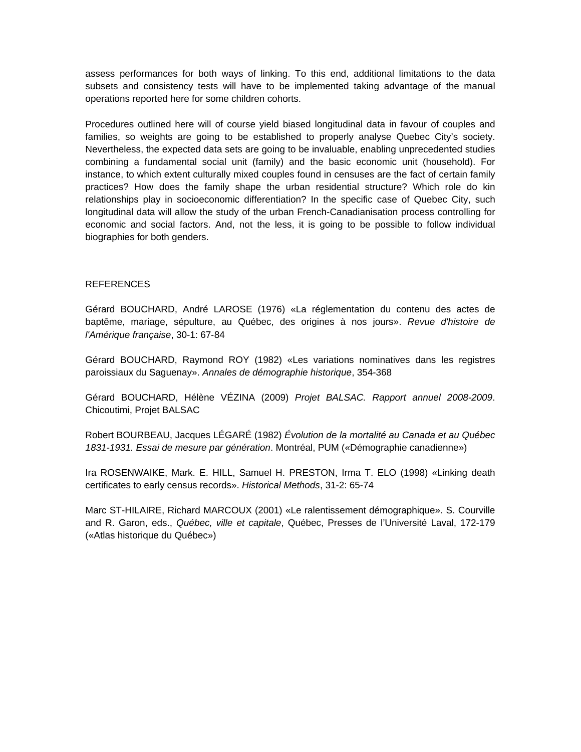assess performances for both ways of linking. To this end, additional limitations to the data subsets and consistency tests will have to be implemented taking advantage of the manual operations reported here for some children cohorts.

Procedures outlined here will of course yield biased longitudinal data in favour of couples and families, so weights are going to be established to properly analyse Quebec City's society. Nevertheless, the expected data sets are going to be invaluable, enabling unprecedented studies combining a fundamental social unit (family) and the basic economic unit (household). For instance, to which extent culturally mixed couples found in censuses are the fact of certain family practices? How does the family shape the urban residential structure? Which role do kin relationships play in socioeconomic differentiation? In the specific case of Quebec City, such longitudinal data will allow the study of the urban French-Canadianisation process controlling for economic and social factors. And, not the less, it is going to be possible to follow individual biographies for both genders.

#### REFERENCES

Gérard BOUCHARD, André LAROSE (1976) «La réglementation du contenu des actes de baptême, mariage, sépulture, au Québec, des origines à nos jours». *Revue d'histoire de l'Amérique française*, 30-1: 67‐84

Gérard BOUCHARD, Raymond ROY (1982) «Les variations nominatives dans les registres paroissiaux du Saguenay». *Annales de démographie historique*, 354-368

Gérard BOUCHARD, Hélène VÉZINA (2009) *Projet BALSAC. Rapport annuel 2008-2009*. Chicoutimi, Projet BALSAC

Robert BOURBEAU, Jacques LÉGARÉ (1982) *Évolution de la mortalité au Canada et au Québec 1831-1931. Essai de mesure par génération*. Montréal, PUM («Démographie canadienne»)

Ira ROSENWAIKE, Mark. E. HILL, Samuel H. PRESTON, Irma T. ELO (1998) «Linking death certificates to early census records». *Historical Methods*, 31-2: 65-74

Marc ST-HILAIRE, Richard MARCOUX (2001) «Le ralentissement démographique». S. Courville and R. Garon, eds., *Québec, ville et capitale*, Québec, Presses de l'Université Laval, 172-179 («Atlas historique du Québec»)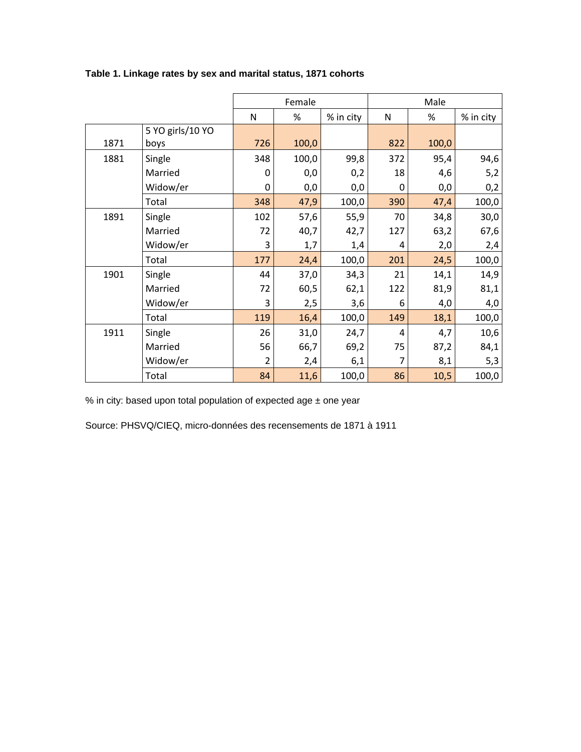|      |                  |     | Female |           | Male |       |           |  |  |
|------|------------------|-----|--------|-----------|------|-------|-----------|--|--|
|      |                  | N   | %      | % in city | N    | %     | % in city |  |  |
|      | 5 YO girls/10 YO |     |        |           |      |       |           |  |  |
| 1871 | boys             | 726 | 100,0  |           | 822  | 100,0 |           |  |  |
| 1881 | Single           | 348 | 100,0  | 99,8      | 372  | 95,4  | 94,6      |  |  |
|      | Married          | 0   | 0,0    | 0,2       | 18   | 4,6   | 5,2       |  |  |
|      | Widow/er         | 0   | 0,0    | 0,0       | 0    | 0,0   | 0,2       |  |  |
|      | Total            | 348 | 47,9   | 100,0     | 390  | 47,4  | 100,0     |  |  |
| 1891 | Single           | 102 | 57,6   | 55,9      | 70   | 34,8  | 30,0      |  |  |
|      | Married          | 72  | 40,7   | 42,7      | 127  | 63,2  | 67,6      |  |  |
|      | Widow/er         | 3   | 1,7    | 1,4       | 4    | 2,0   | 2,4       |  |  |
|      | Total            | 177 | 24,4   | 100,0     | 201  | 24,5  | 100,0     |  |  |
| 1901 | Single           | 44  | 37,0   | 34,3      | 21   | 14,1  | 14,9      |  |  |
|      | Married          | 72  | 60,5   | 62,1      | 122  | 81,9  | 81,1      |  |  |
|      | Widow/er         | 3   | 2,5    | 3,6       | 6    | 4,0   | 4,0       |  |  |
|      | Total            | 119 | 16,4   | 100,0     | 149  | 18,1  | 100,0     |  |  |
| 1911 | Single           | 26  | 31,0   | 24,7      | 4    | 4,7   | 10,6      |  |  |
|      | Married          | 56  | 66,7   | 69,2      | 75   | 87,2  | 84,1      |  |  |
|      | Widow/er         | 2   | 2,4    | 6,1       | 7    | 8,1   | 5,3       |  |  |
|      | Total            | 84  | 11,6   | 100,0     | 86   | 10,5  | 100,0     |  |  |

### **Table 1. Linkage rates by sex and marital status, 1871 cohorts**

% in city: based upon total population of expected age ± one year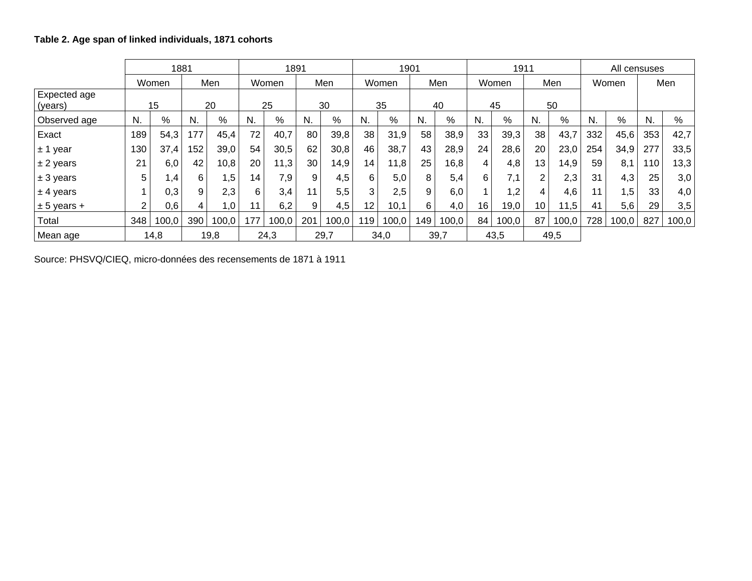|                         |                | 1881  |     |       |                 | 1891  |                 |       |                 | 1901  |     |       |    | 1911  |                 |       |     | All censuses |     |       |
|-------------------------|----------------|-------|-----|-------|-----------------|-------|-----------------|-------|-----------------|-------|-----|-------|----|-------|-----------------|-------|-----|--------------|-----|-------|
|                         |                | Women |     | Men   |                 | Women |                 | Men   |                 | Women |     | Men   |    | Women |                 | Men   |     | Women        |     | Men   |
| Expected age<br>(years) |                | 15    |     | 20    |                 | 25    |                 | 30    |                 | 35    |     | 40    |    | 45    |                 | 50    |     |              |     |       |
| Observed age            | N.             | %     | N.  | %     | N.              | %     | N.              | %     | N.              | %     | N.  | %     | N. | %     | N.              | %     | N.  | %            | N.  | %     |
| Exact                   | 189            | 54,3  | 177 | 45,4  | 72              | 40,7  | 80              | 39,8  | 38              | 31,9  | 58  | 38,9  | 33 | 39,3  | 38              | 43,7  | 332 | 45,6         | 353 | 42,7  |
| $± 1$ year              | 130            | 37,4  | 152 | 39,0  | 54              | 30,5  | 62              | 30,8  | 46              | 38,7  | 43  | 28,9  | 24 | 28,6  | 20              | 23,0  | 254 | 34,9         | 277 | 33,5  |
| $± 2$ years             | 21             | 6,0   | 42  | 10,8  | 20              | 11,3  | 30              | 14,9  | 14              | 11,8  | 25  | 16,8  | 4  | 4,8   | 13 <sub>1</sub> | 14,9  | 59  | 8,1          | 110 | 13,3  |
| $± 3$ years             | 5              | 1,4   | 6   | 1,5   | 14 <sub>1</sub> | 7,9   | 9               | 4,5   | 6               | 5,0   | 8   | 5,4   | 6  | 7,1   | 2               | 2,3   | 31  | 4,3          | 25  | 3,0   |
| $± 4$ years             | 1              | 0,3   | 9   | 2,3   | 6               | 3,4   | 11 <sub>1</sub> | 5,5   | 3               | 2,5   | 9   | 6,0   |    | 1,2   | 4               | 4,6   | 11  | 1,5          | 33  | 4,0   |
| $± 5$ years +           | $\overline{c}$ | 0,6   |     | 1,0   |                 | 6,2   | 9 <sub>1</sub>  | 4,5   | 12 <sup>2</sup> | 10,1  | 6   | 4,0   | 16 | 19,0  | 10 <sub>1</sub> | 11,5  | 41  | 5,6          | 29  | 3,5   |
| Total                   | 348            | 100,0 | 390 | 100,0 | 177             | 100,0 | 201             | 100,0 | 119             | 100,0 | 149 | 100,0 | 84 | 100,0 | 87              | 100,0 | 728 | 100,0        | 827 | 100,0 |
| Mean age                |                | 14,8  |     | 19,8  |                 | 24,3  |                 | 29,7  |                 | 34,0  |     | 39,7  |    | 43,5  |                 | 49,5  |     |              |     |       |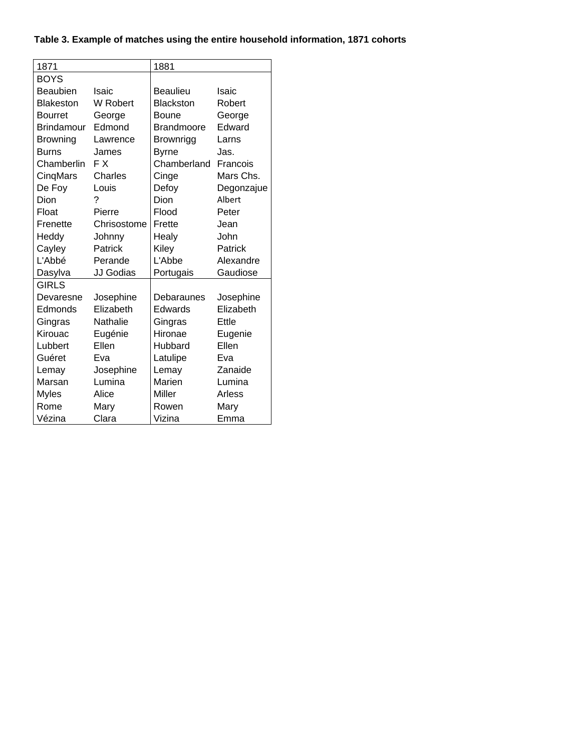# **Table 3. Example of matches using the entire household information, 1871 cohorts**

| 1871              |                 | 1881              |            |
|-------------------|-----------------|-------------------|------------|
| <b>BOYS</b>       |                 |                   |            |
| <b>Beaubien</b>   | <b>Isaic</b>    | <b>Beaulieu</b>   | Isaic      |
| <b>Blakeston</b>  | W Robert        | <b>Blackston</b>  | Robert     |
| <b>Bourret</b>    | George          | Boune             | George     |
| <b>Brindamour</b> | Edmond          | <b>Brandmoore</b> | Edward     |
| <b>Browning</b>   | Lawrence        | <b>Brownrigg</b>  | Larns      |
| <b>Burns</b>      | James           | <b>Byrne</b>      | Jas.       |
| Chamberlin        | F X             | Chamberland       | Francois   |
| CinqMars          | Charles         | Cinge             | Mars Chs.  |
| De Foy            | Louis           | Defoy             | Degonzajue |
| Dion              | ?               | Dion              | Albert     |
| Float             | Pierre          | Flood             | Peter      |
| Frenette          | Chrisostome     | Frette            | Jean       |
| Heddy             | Johnny          | Healy             | John       |
| Cayley            | Patrick         | Kiley             | Patrick    |
| L'Abbé            | Perande         | L'Abbe            | Alexandre  |
| Dasylva           | JJ Godias       | Portugais         | Gaudiose   |
| GIRLS             |                 |                   |            |
| Devaresne         | Josephine       | Debaraunes        | Josephine  |
| Edmonds           | Elizabeth       | Edwards           | Elizabeth  |
| Gingras           | <b>Nathalie</b> | Gingras           | Ettle      |
| Kirouac           | Eugénie         | Hironae           | Eugenie    |
| Lubbert           | Ellen           | Hubbard           | Ellen      |
| Guéret            | Eva             | Latulipe          | Eva        |
| Lemay             | Josephine       | Lemay             | Zanaide    |
| Marsan            | Lumina          | Marien            | Lumina     |
| <b>Myles</b>      | Alice           | Miller            | Arless     |
| Rome              | Mary            | Rowen             | Mary       |
| Vézina            | Clara           | Vizina            | Emma       |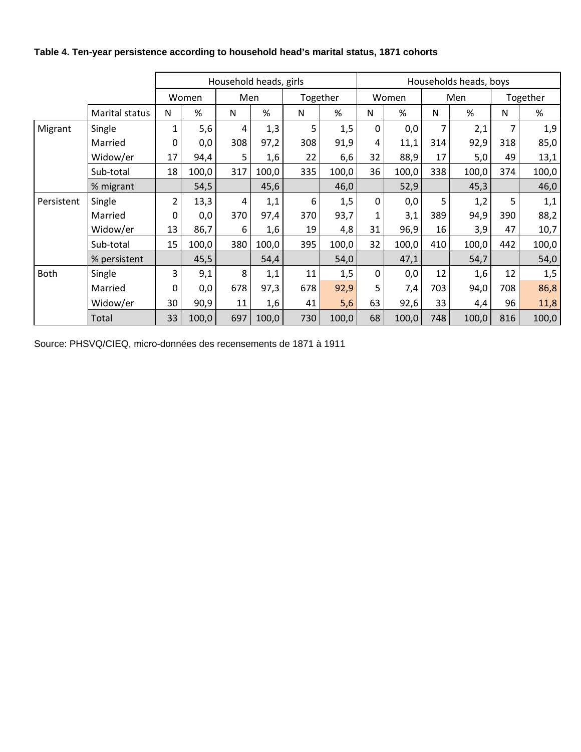|  |  | Table 4. Ten-year persistence according to household head's marital status, 1871 cohorts |  |
|--|--|------------------------------------------------------------------------------------------|--|
|--|--|------------------------------------------------------------------------------------------|--|

|             |                |                |       | Household heads, girls |       |          |       |                |       |     | Households heads, boys |          |       |
|-------------|----------------|----------------|-------|------------------------|-------|----------|-------|----------------|-------|-----|------------------------|----------|-------|
|             |                |                | Women | Men                    |       | Together |       |                | Women |     | Men                    | Together |       |
|             | Marital status | N              | %     | N                      | %     | N        | %     | N              | %     | N   | %                      | N        | %     |
| Migrant     | Single         | $\mathbf{1}$   | 5,6   | 4                      | 1,3   | 5        | 1,5   | $\mathbf{0}$   | 0,0   | 7   | 2,1                    | 7        | 1,9   |
|             | Married        | 0              | 0,0   | 308                    | 97,2  | 308      | 91,9  | 4              | 11,1  | 314 | 92,9                   | 318      | 85,0  |
|             | Widow/er       | 17             | 94,4  | 5                      | 1,6   | 22       | 6,6   | 32             | 88,9  | 17  | 5,0                    | 49       | 13,1  |
|             | Sub-total      | 18             | 100,0 | 317                    | 100,0 | 335      | 100,0 | 36             | 100,0 | 338 | 100,0                  | 374      | 100,0 |
|             | % migrant      |                | 54,5  |                        | 45,6  |          | 46,0  |                | 52,9  |     | 45,3                   |          | 46,0  |
| Persistent  | Single         | $\overline{2}$ | 13,3  | 4                      | 1,1   | 6        | 1,5   | $\overline{0}$ | 0,0   | 5   | 1,2                    | 5        | 1,1   |
|             | Married        | 0              | 0,0   | 370                    | 97,4  | 370      | 93,7  | $\mathbf{1}$   | 3,1   | 389 | 94,9                   | 390      | 88,2  |
|             | Widow/er       | 13             | 86,7  | 6                      | 1,6   | 19       | 4,8   | 31             | 96,9  | 16  | 3,9                    | 47       | 10,7  |
|             | Sub-total      | 15             | 100,0 | 380                    | 100,0 | 395      | 100,0 | 32             | 100,0 | 410 | 100,0                  | 442      | 100,0 |
|             | % persistent   |                | 45,5  |                        | 54,4  |          | 54,0  |                | 47,1  |     | 54,7                   |          | 54,0  |
| <b>Both</b> | Single         | 3              | 9,1   | 8                      | 1,1   | 11       | 1,5   | $\overline{0}$ | 0,0   | 12  | 1,6                    | 12       | 1,5   |
|             | Married        | 0              | 0,0   | 678                    | 97,3  | 678      | 92,9  | 5              | 7,4   | 703 | 94,0                   | 708      | 86,8  |
|             | Widow/er       | 30             | 90,9  | 11                     | 1,6   | 41       | 5,6   | 63             | 92,6  | 33  | 4,4                    | 96       | 11,8  |
|             | Total          | 33             | 100,0 | 697                    | 100,0 | 730      | 100,0 | 68             | 100,0 | 748 | 100,0                  | 816      | 100,0 |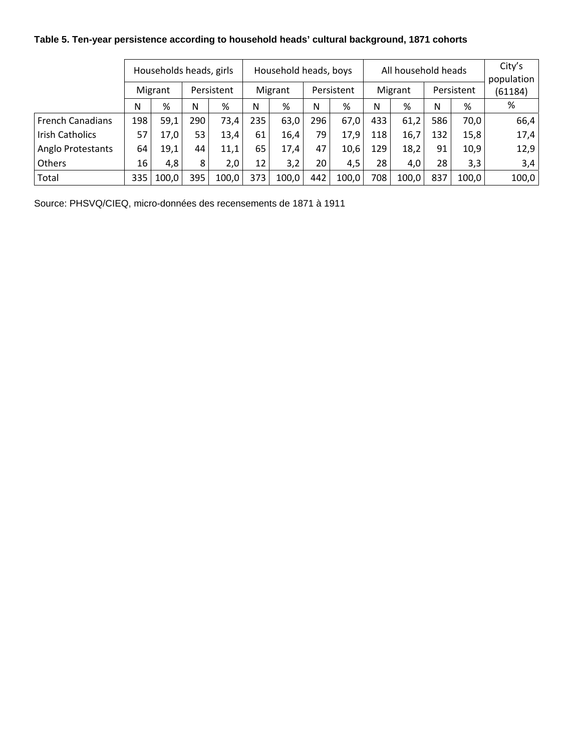## **Table 5. Ten-year persistence according to household heads' cultural background, 1871 cohorts**

|                         | Households heads, girls |       |            |       |                 | Household heads, boys |            |       |         | All household heads | City's<br>population |       |         |
|-------------------------|-------------------------|-------|------------|-------|-----------------|-----------------------|------------|-------|---------|---------------------|----------------------|-------|---------|
|                         | Migrant                 |       | Persistent |       | Migrant         |                       | Persistent |       | Migrant |                     | Persistent           |       | (61184) |
|                         | N                       | %     | N          | %     | N               | %                     | N          | %     | N       | %                   | N                    | %     | %       |
| <b>French Canadians</b> | 198                     | 59,1  | 290        | 73,4  | 235             | 63,0                  | 296        | 67,0  | 433     | 61,2                | 586                  | 70,0  | 66,4    |
| <b>Irish Catholics</b>  | 57                      | 17,0  | 53         | 13,4  | 61              | 16,4                  | 79         | 17,9  | 118     | 16,7                | 132                  | 15,8  | 17,4    |
| Anglo Protestants       | 64                      | 19,1  | 44         | 11,1  | 65              | 17,4                  | 47         | 10,6  | 129     | 18,2                | 91                   | 10,9  | 12,9    |
| Others                  | 16                      | 4,8   | 8          | 2,0   | 12 <sub>1</sub> | 3,2                   | 20         | 4,5   | 28      | 4,0                 | 28                   | 3,3   | 3,4     |
| Total                   | 335                     | 100,0 | 395        | 100,0 | 373             | 100,0                 | 442        | 100,0 | 708     | 100,0               | 837                  | 100,0 | 100,0   |